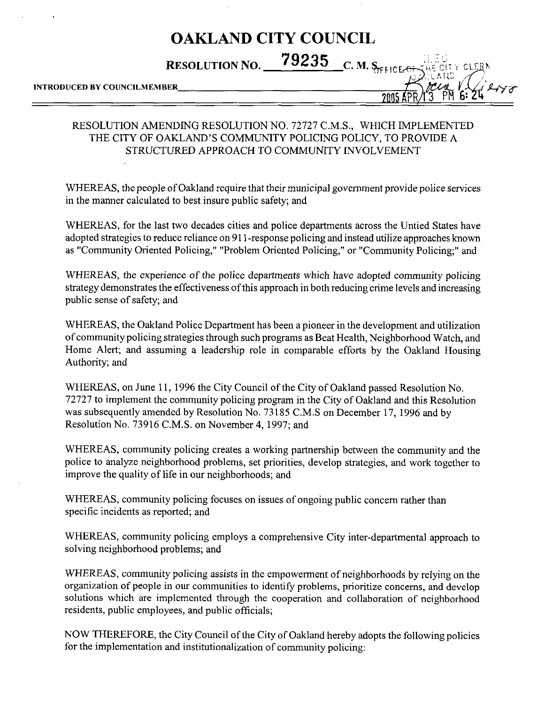## OAKLAND CITY COUNCIL

RESOLUTION NO.  $79235$  c. M. S<sub>TEICE</sub>

CLERI

', L

# INTRODUCED BY COUNCILMEMBER **And the COUNCIL AVE AVAILABLE COUNCIL** TO AVAILABLE 2005

## RESOLUTION AMENDING RESOLUTION NO. 72727 C.M.S., WHICH IMPLEMENTED THE CITY OF OAKLAND'S COMMUNITY POLICING POLICY, TO PROVIDE A STRUCTURED APPROACH TO COMMUNITY INVOLVEMENT

WHEREAS, the people of Oakland require that their municipal government provide police services in the manner calculated to best insure public safety; and

WHEREAS, for the last two decades cities and police departments across the Untied States have adopted strategies to reduce reliance on 911-response policing and instead utilize approaches known as "Community Oriented Policing," "Problem Oriented Policing," or "Community Policing;" and

WHEREAS, the experience of the police departments which have adopted community policing strategy demonstrates the effectiveness of this approach in both reducing crime levels and increasing public sense of safety; and

WHEREAS, the Oakland Police Department has been a pioneer in the development and utilization of community policing strategies through such programs as Beat Health, Neighborhood Watch, and Home Alert; and assuming a leadership role in comparable efforts by the Oakland Housing Authority; and

WHEREAS, on June 11, 1996 the City Council of the City of Oakland passed Resolution No. 72727 to implement the community policing program in the City of Oakland and this Resolution was subsequently amended by Resolution No. 73185 C.M.S on December 17, 1996 and by Resolution No. 73916 C.M.S. on November 4, 1997; and

WHEREAS, community policing creates a working partnership between the community and the police to analyze neighborhood problems, set priorities, develop strategies, and work together to improve the quality of life in our neighborhoods; and

WHEREAS, community policing focuses on issues of ongoing public concern rather than specific incidents as reported; and

WHEREAS, community policing employs a comprehensive City inter-departmental approach to solving neighborhood problems; and

WHEREAS, community policing assists in the empowerment of neighborhoods by relying on the organization of people in our communities to identify problems, prioritize concerns, and develop solutions which are implemented through the cooperation and collaboration of neighborhood residents, public employees, and public officials;

NOW THEREFORE, the City Council of the City of Oakland hereby adopts the following policies for the implementation and institutionalization of community policing: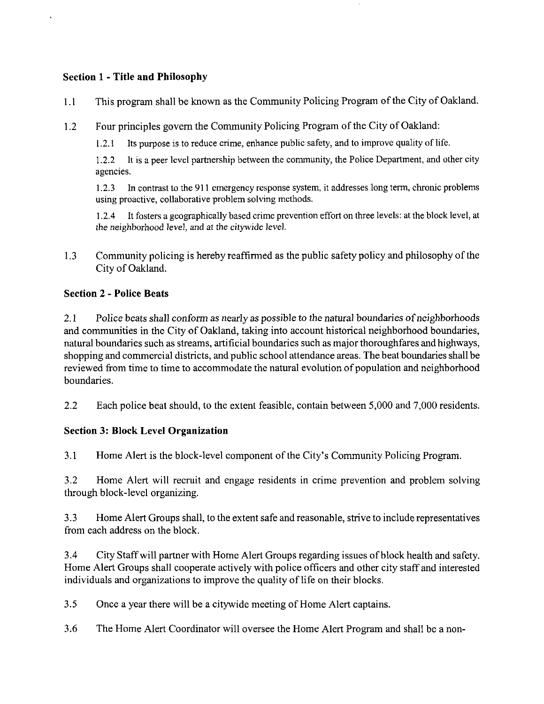### Section 1 - Title and Philosophy

- 1.1 This program shall be known as the Community Policing Program of the City of Oakland.
- 1.2 Four principles govern the Community Policing Program of the City of Oakland:

1.2.1 Its purpose is to reduce crime, enhance public safety, and to improve quality of life.

1.2.2 It is a peer level partnership between the community, the Police Department, and other city agencies.

1.2.3 In contrast to the 911 emergency response system, it addresses long term, chronic problems using proactive, collaborative problem solving methods.

1.2.4 It fosters a geographically based crime prevention effort on three levels: at the block level, at the neighborhood level, and at the citywide level.

1.3 Community policing is hereby reaffirmed as the public safety policy and philosophy of the City of Oakland.

### Section 2 - Police Beats

2.1 Police beats shall conform as nearly as possible to the natural boundaries of neighborhoods and communities in the City of Oakland, taking into account historical neighborhood boundaries, natural boundaries such as streams, artificial boundaries such as major thoroughfares and highways, shopping and commercial districts, and public school attendance areas. The beat boundaries shall be reviewed from time to time to accommodate the natural evolution of population and neighborhood boundaries.

2.2 Each police beat should, to the extent feasible, contain between 5,000 and 7,000 residents.

## Section 3: Block Level Organization

3.1 Home Alert is the block-level component of the City's Community Policing Program.

3.2 Home Alert will recruit and engage residents in crime prevention and problem solving through block-level organizing.

3.3 Home Alert Groups shall, to the extent safe and reasonable, strive to include representatives from each address on the block.

3.4 City Staff will partner with Home Alert Groups regarding issues of block health and safety. Home Alert Groups shall cooperate actively with police officers and other city staff and interested individuals and organizations to improve the quality of life on their blocks.

3.5 Once a year there will be a citywide meeting of Home Alert captains.

3.6 The Home Alert Coordinator will oversee the Home Alert Program and shall be a non-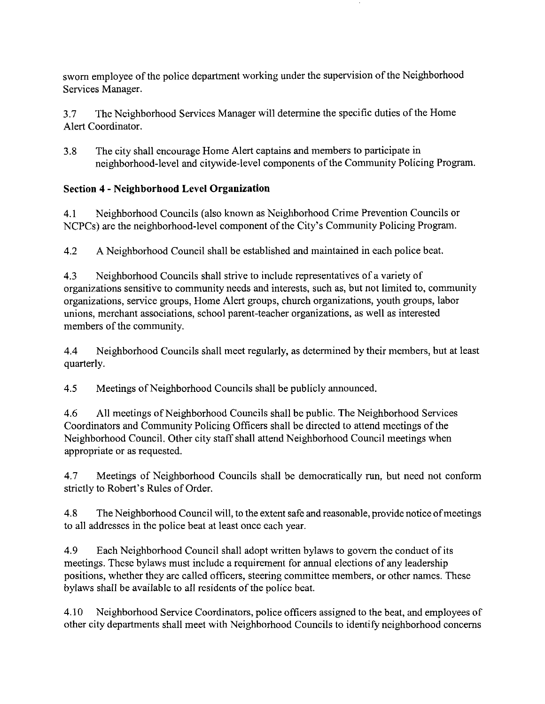sworn employee of the police department working under the supervision of the Neighborhood Services Manager.

3.7 The Neighborhood Services Manager will determine the specific duties of the Home Alert Coordinator.

3.8 The city shall encourage Home Alert captains and members to participate in neighborhood-level and citywide-level components of the Community Policing Program.

## Section 4 - Neighborhood Level Organization

4.1 Neighborhood Councils (also known as Neighborhood Crime Prevention Councils or NCPCs) are the neighborhood-level component of the City's Community Policing Program.

4.2 A Neighborhood Council shall be established and maintained in each police beat.

4.3 Neighborhood Councils shall strive to include representatives of a variety of organizations sensitive to community needs and interests, such as, but not limited to, community organizations, service groups, Home Alert groups, church organizations, youth groups, labor unions, merchant associations, school parent-teacher organizations, as well as interested members of the community.

4.4 Neighborhood Councils shall meet regularly, as determined by their members, but at least quarterly.

4.5 Meetings of Neighborhood Councils shall be publicly announced.

4.6 All meetings of Neighborhood Councils shall be public. The Neighborhood Services Coordinators and Community Policing Officers shall be directed to attend meetings of the Neighborhood Council. Other city staff shall attend Neighborhood Council meetings when appropriate or as requested.

4.7 Meetings of Neighborhood Councils shall be democratically run, but need not conform strictly to Robert's Rules of Order.

4.8 The Neighborhood Council will, to the extent safe and reasonable, provide notice of meetings to all addresses in the police beat at least once each year.

4.9 Each Neighborhood Council shall adopt written bylaws to govern the conduct of its meetings. These bylaws must include a requirement for annual elections of any leadership positions, whether they are called officers, steering committee members, or other names. These bylaws shall be available to all residents of the police beat.

4.10 Neighborhood Service Coordinators, police officers assigned to the beat, and employees of other city departments shall meet with Neighborhood Councils to identify neighborhood concerns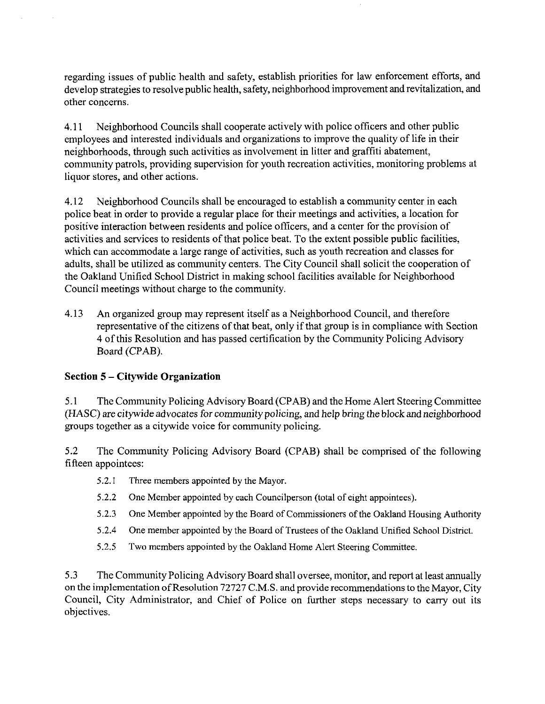regarding issues of public health and safety, establish priorities for law enforcement efforts, and develop strategies to resolve public health, safety, neighborhood improvement and revitalization, and other concerns.

4.11 Neighborhood Councils shall cooperate actively with police officers and other public employees and interested individuals and organizations to improve the quality of life in their neighborhoods, through such activities as involvement in litter and graffiti abatement, community patrols, providing supervision for youth recreation activities, monitoring problems at liquor stores, and other actions.

4.12 Neighborhood Councils shall be encouraged to establish a community center in each police beat in order to provide a regular place for their meetings and activities, a location for positive interaction between residents and police officers, and a center for the provision of activities and services to residents of that police beat. To the extent possible public facilities, which can accommodate a large range of activities, such as youth recreation and classes for adults, shall be utilized as community centers. The City Council shall solicit the cooperation of the Oakland Unified School District in making school facilities available for Neighborhood Council meetings without charge to the community.

4.13 An organized group may represent itself as a Neighborhood Council, and therefore representative of the citizens of that beat, only if that group is in compliance with Section 4 of this Resolution and has passed certification by the Community Policing Advisory Board (CPAB).

## Section 5 - Citywide Organization

5.1 The Community Policing Advisory Board (CPAB) and the Home Alert Steering Committee (HASC) are citywide advocates for community policing, and help bring the block and neighborhood groups together as a citywide voice for community policing.

5.2 The Community Policing Advisory Board (CPAB) shall be comprised of the following fifteen appointees:

- 5.2.1 Three members appointed by the Mayor.
- 5.2.2 One Member appointed by each Councilperson (total of eight appointees).
- 5.2.3 One Member appointed by the Board of Commissioners of the Oakland Housing Authority
- 5.2.4 One member appointed by the Board of Trustees of the Oakland Unified School District.
- 5.2.5 Two members appointed by the Oakland Home Alert Steering Committee.

5.3 The Community Policing Advisory Board shall oversee, monitor, and report at least annually on the implementation of Resolution 72727 C.M.S. and provide recommendations to the Mayor, City Council, City Administrator, and Chief of Police on further steps necessary to carry out its objectives.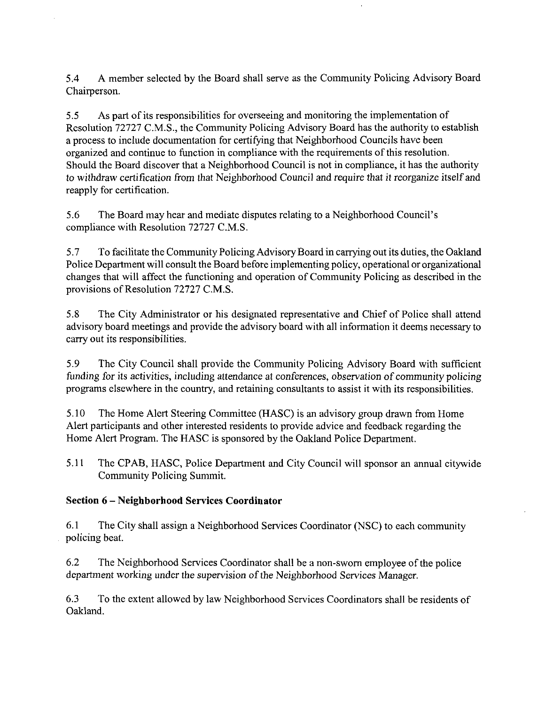5.4 A member selected by the Board shall serve as the Community Policing Advisory Board Chairperson.

5.5 As part of its responsibilities for overseeing and monitoring the implementation of Resolution 72727 C.M.S., the Community Policing Advisory Board has the authority to establish a process to include documentation for certifying that Neighborhood Councils have been organized and continue to function in compliance with the requirements of this resolution. Should the Board discover that a Neighborhood Council is not in compliance, it has the authority to withdraw certification from that Neighborhood Council and require that it reorganize itself and reapply for certification.

5.6 The Board may hear and mediate disputes relating to a Neighborhood Council's compliance with Resolution 72727 C.M.S.

5.7 To facilitate the Community Policing Advisory Board in carrying out its duties, the Oakland Police Department will consult the Board before implementing policy, operational or organizational changes that will affect the functioning and operation of Community Policing as described in the provisions of Resolution 72727 C.M.S.

5.8 The City Administrator or his designated representative and Chief of Police shall attend advisory board meetings and provide the advisory board with all information it deems necessary to carry out its responsibilities.

5.9 The City Council shall provide the Community Policing Advisory Board with sufficient funding for its activities, including attendance at conferences, observation of community policing programs elsewhere in the country, and retaining consultants to assist it with its responsibilities.

5.10 The Home Alert Steering Committee (HASC) is an advisory group drawn from Home Alert participants and other interested residents to provide advice and feedback regarding the Home Alert Program. The HASC is sponsored by the Oakland Police Department.

5.11 The CPAB, HASC, Police Department and City Council will sponsor an annual citywide Community Policing Summit.

## Section 6 - Neighborhood Services Coordinator

6.1 The City shall assign a Neighborhood Services Coordinator (NSC) to each community policing beat.

6.2 The Neighborhood Services Coordinator shall be a non-sworn employee of the police department working under the supervision of the Neighborhood Services Manager.

6.3 To the extent allowed by law Neighborhood Services Coordinators shall be residents of Oakland.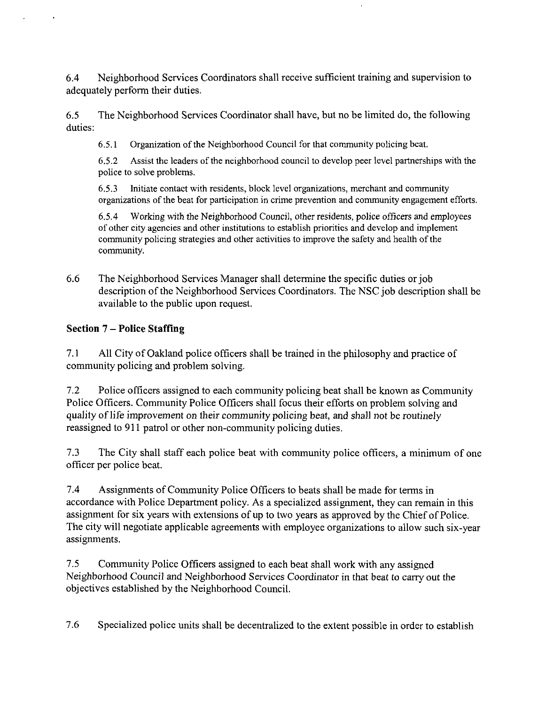6.4 Neighborhood Services Coordinators shall receive sufficient training and supervision to adequately perform their duties.

6.5 The Neighborhood Services Coordinator shall have, but no be limited do, the following duties:

6.5.1 Organization of the Neighborhood Council for that community policing beat.

6.5.2 Assist the leaders of the neighborhood council to develop peer level partnerships with the police to solve problems.

6.5.3 Initiate contact with residents, block level organizations, merchant and community organizations of the beat for participation in crime prevention and community engagement efforts.

6.5.4 Working with the Neighborhood Council, other residents, police officers and employees of other city agencies and other institutions to establish priorities and develop and implement community policing strategies and other activities to improve the safety and health of the community.

6.6 The Neighborhood Services Manager shall determine the specific duties or job description of the Neighborhood Services Coordinators. The NSC job description shall be available to the public upon request.

## Section 7 - Police Staffing

7.1 All City of Oakland police officers shall be trained in the philosophy and practice of community policing and problem solving.

7.2 Police officers assigned to each community policing beat shall be known as Community Police Officers. Community Police Officers shall focus their efforts on problem solving and quality of life improvement on their community policing beat, and shall not be routinely reassigned to 911 patrol or other non-community policing duties.

7.3 The City shall staff each police beat with community police officers, a minimum of one officer per police beat.

7.4 Assignments of Community Police Officers to beats shall be made for terms in accordance with Police Department policy. As a specialized assignment, they can remain in this assignment for six years with extensions of up to two years as approved by the Chief of Police. The city will negotiate applicable agreements with employee organizations to allow such six-year assignments.

7.5 Community Police Officers assigned to each beat shall work with any assigned Neighborhood Council and Neighborhood Services Coordinator in that beat to carry out the objectives established by the Neighborhood Council.

7.6 Specialized police units shall be decentralized to the extent possible in order to establish